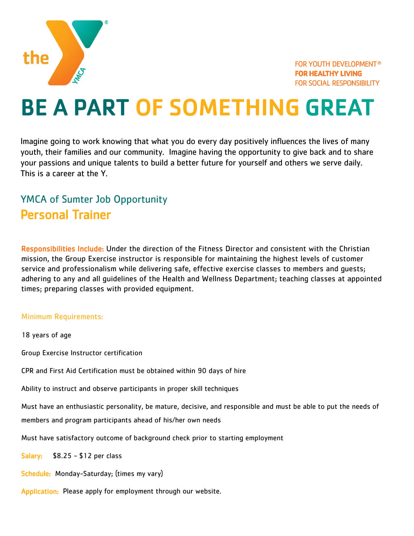

## BE A PART OF SOMETHING GREAT

Imagine going to work knowing that what you do every day positively influences the lives of many youth, their families and our community. Imagine having the opportunity to give back and to share your passions and unique talents to build a better future for yourself and others we serve daily. This is a career at the Y.

## YMCA of Sumter Job Opportunity Personal Trainer

Responsibilities Include: Under the direction of the Fitness Director and consistent with the Christian mission, the Group Exercise instructor is responsible for maintaining the highest levels of customer service and professionalism while delivering safe, effective exercise classes to members and guests; adhering to any and all guidelines of the Health and Wellness Department; teaching classes at appointed times; preparing classes with provided equipment.

## Minimum Requirements:

18 years of age Group Exercise Instructor certification CPR and First Aid Certification must be obtained within 90 days of hire Ability to instruct and observe participants in proper skill techniques Must have an enthusiastic personality, be mature, decisive, and responsible and must be able to put the needs of members and program participants ahead of his/her own needs Must have satisfactory outcome of background check prior to starting employment Salary:  $$8.25 - $12$  per class Schedule: Monday-Saturday; (times my vary) Application: Please apply for employment through our website.